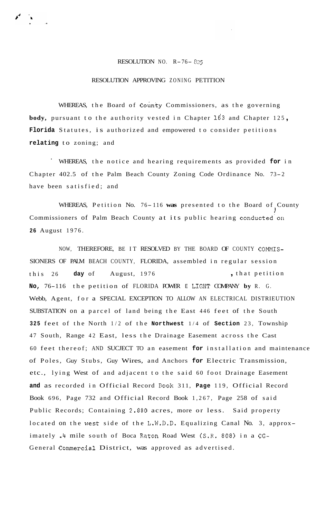## RESOLUTION NO. R-76- *<sup>025</sup>*

## RESOLUTION APPROVING ZONING PETITION

WHEREAS, the Board of County Commissioners, as the governing **body,** pursuant to the authority vested in Chapter **163** and Chapter 125 , **Florida** Statutes, is authorized and empowered to consider petitions **relating** to zoning; and

' WHEREAS, the notice and hearing requirements as provided **for** in Chapter 402.5 of the Palm Beach County Zoning Code Ordinance No. 73- <sup>2</sup> have been satisfied; and

WHEREAS, Petition No. 76-116 was presented to the Board of County Commissioners of Palm Beach County at its public hearing conducted on **26** August 1976.

NOW, THEREFORE, BE IT RESOLVED BY THE BOARD OF COUNTY COMMIS-SIONERS OF PALM BEACH COUNTY, FLORIDA, assembled in regular session this 26 day of August, 1976 , that petition **No,** 76-116 the petition of FLORIDA POWER E LIGHT COMPANY **by** R. G. Webb, Agent, for a SPECIAL EXCEPTION TO ALLOW AN ELECTRICAL DISTRIEUTION SUBSTATION on a parcel of land being the East 446 feet of the South **<sup>325</sup>**feet of the North 1/2 of the **Northwest** 1/4 of **Section** 23, Township 47 South, Range 42 East, less the Drainage Easement across the Cast 60 feet thereof; AND SUCJECT TO an easement **for** installation and maintenance of Poles, Guy Stubs, Guy Wires, and Anchors **for** Electric Transmission, etc., lying West of and adjacent to the said 60 foot Drainage Easement **and** as recorded in Official Record Book 311, **Page** 119, Official Record Book 696, Page 732 and Official Record Book 1,267, Page 258 of said Public Records; Containing 2.880 acres, more or less. Said property located on the west side of the L.W.D.D. Equalizing Canal No. 3, approximately .4 mile south of Boca Raton Road West (S.R. 808) in a CG-General Commercial District, was approved as advertised.